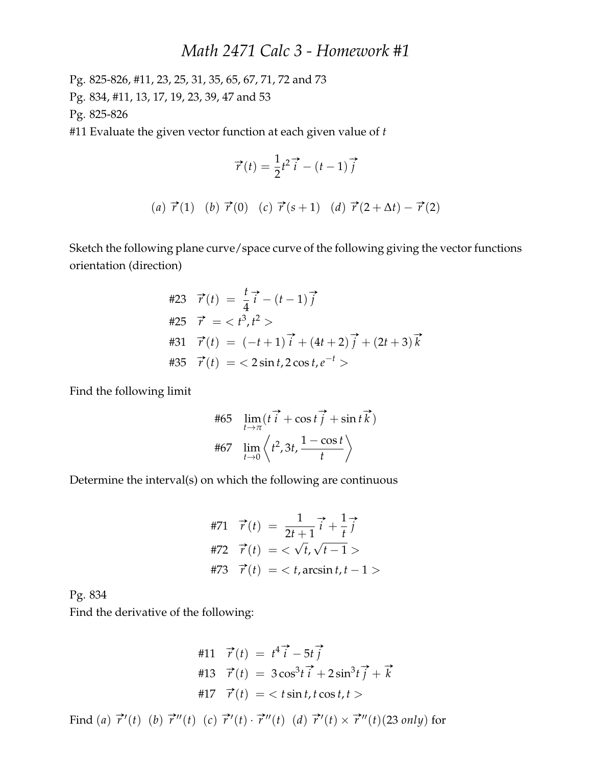## *Math 2471 Calc 3 - Homework #1*

Pg. 825-826, #11, 23, 25, 31, 35, 65, 67, 71, 72 and 73 Pg. 834, #11, 13, 17, 19, 23, 39, 47 and 53 Pg. 825-826

#11 Evaluate the given vector function at each given value of *t*

$$
\vec{r}(t) = \frac{1}{2}t^2\vec{i} - (t - 1)\vec{j}
$$

(a) 
$$
\vec{r}(1)
$$
 (b)  $\vec{r}(0)$  (c)  $\vec{r}(s+1)$  (d)  $\vec{r}(2+\Delta t) - \vec{r}(2)$ 

Sketch the following plane curve/space curve of the following giving the vector functions orientation (direction)

#23 
$$
\vec{r}(t) = \frac{t}{4} \vec{i} - (t - 1) \vec{j}
$$
  
\n#25  $\vec{r} = \langle t^3, t^2 \rangle$   
\n#31  $\vec{r}(t) = (-t + 1) \vec{i} + (4t + 2) \vec{j} + (2t + 3) \vec{k}$   
\n#35  $\vec{r}(t) = \langle 2 \sin t, 2 \cos t, e^{-t} \rangle$ 

Find the following limit

$$
\#65 \quad \lim_{t \to \pi} (t \overrightarrow{i} + \cos t \overrightarrow{j} + \sin t \overrightarrow{k})
$$

$$
\#67 \quad \lim_{t \to 0} \left\langle t^2, 3t, \frac{1 - \cos t}{t} \right\rangle
$$

Determine the interval(s) on which the following are continuous

$$
\begin{aligned}\n\#71 \quad \vec{r}(t) &= \frac{1}{2t+1} \vec{i} + \frac{1}{t} \vec{j} \\
\#72 \quad \vec{r}(t) &= \langle \sqrt{t}, \sqrt{t-1} \rangle \\
\#73 \quad \vec{r}(t) &= \langle t, \arcsin t, t-1 \rangle\n\end{aligned}
$$

Pg. 834

Find the derivative of the following:

$$
\begin{aligned}\n\#11 \quad \vec{r}(t) &= t^4 \vec{i} - 5t \vec{j} \\
\#13 \quad \vec{r}(t) &= 3 \cos^3 t \vec{i} + 2 \sin^3 t \vec{j} + \vec{k} \\
\#17 \quad \vec{r}(t) &= \langle t \sin t, t \cos t, t \rangle\n\end{aligned}
$$

Find (*a*)  $\vec{r}$ ''(*t*) (*b*)  $\vec{r}$ ''(*t*) (*c*)  $\vec{r}$ ''(*t*) ·  $\vec{r}$ ''(*t*) (*d*)  $\vec{r}$ ''(*t*) ×  $\vec{r}$ ''(*t*)(23 *only*) for